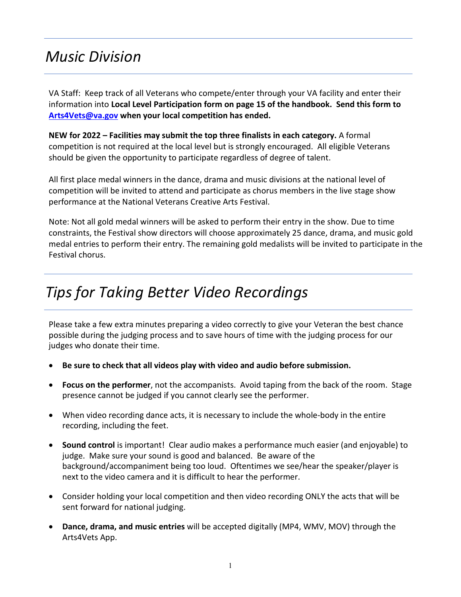## *Music Division*

VA Staff: Keep track of all Veterans who compete/enter through your VA facility and enter their information into **Local Level Participation form on page 15 of the handbook. Send this form to [Arts4Vets@va.gov](mailto:Arts4Vets@va.gov) when your local competition has ended.**

**NEW for 2022 – Facilities may submit the top three finalists in each category.** A formal competition is not required at the local level but is strongly encouraged. All eligible Veterans should be given the opportunity to participate regardless of degree of talent.

All first place medal winners in the dance, drama and music divisions at the national level of competition will be invited to attend and participate as chorus members in the live stage show performance at the National Veterans Creative Arts Festival.

Note: Not all gold medal winners will be asked to perform their entry in the show. Due to time constraints, the Festival show directors will choose approximately 25 dance, drama, and music gold medal entries to perform their entry. The remaining gold medalists will be invited to participate in the Festival chorus.

# *Tips for Taking Better Video Recordings*

Please take a few extra minutes preparing a video correctly to give your Veteran the best chance possible during the judging process and to save hours of time with the judging process for our judges who donate their time.

- **Be sure to check that all videos play with video and audio before submission.**
- **Focus on the performer**, not the accompanists. Avoid taping from the back of the room. Stage presence cannot be judged if you cannot clearly see the performer.
- When video recording dance acts, it is necessary to include the whole-body in the entire recording, including the feet.
- **Sound control** is important! Clear audio makes a performance much easier (and enjoyable) to judge. Make sure your sound is good and balanced. Be aware of the background/accompaniment being too loud. Oftentimes we see/hear the speaker/player is next to the video camera and it is difficult to hear the performer.
- Consider holding your local competition and then video recording ONLY the acts that will be sent forward for national judging.
- **Dance, drama, and music entries** will be accepted digitally (MP4, WMV, MOV) through the Arts4Vets App.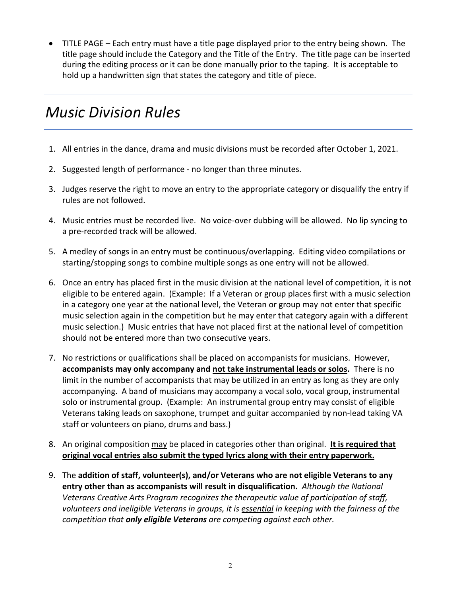• TITLE PAGE – Each entry must have a title page displayed prior to the entry being shown. The title page should include the Category and the Title of the Entry. The title page can be inserted during the editing process or it can be done manually prior to the taping. It is acceptable to hold up a handwritten sign that states the category and title of piece.

# *Music Division Rules*

- 1. All entries in the dance, drama and music divisions must be recorded after October 1, 2021.
- 2. Suggested length of performance no longer than three minutes.
- 3. Judges reserve the right to move an entry to the appropriate category or disqualify the entry if rules are not followed.
- 4. Music entries must be recorded live. No voice-over dubbing will be allowed. No lip syncing to a pre-recorded track will be allowed.
- 5. A medley of songs in an entry must be continuous/overlapping. Editing video compilations or starting/stopping songs to combine multiple songs as one entry will not be allowed.
- 6. Once an entry has placed first in the music division at the national level of competition, it is not eligible to be entered again. (Example: If a Veteran or group places first with a music selection in a category one year at the national level, the Veteran or group may not enter that specific music selection again in the competition but he may enter that category again with a different music selection.) Music entries that have not placed first at the national level of competition should not be entered more than two consecutive years.
- 7. No restrictions or qualifications shall be placed on accompanists for musicians. However, **accompanists may only accompany and not take instrumental leads or solos.** There is no limit in the number of accompanists that may be utilized in an entry as long as they are only accompanying. A band of musicians may accompany a vocal solo, vocal group, instrumental solo or instrumental group. (Example: An instrumental group entry may consist of eligible Veterans taking leads on saxophone, trumpet and guitar accompanied by non-lead taking VA staff or volunteers on piano, drums and bass.)
- 8. An original composition may be placed in categories other than original. **It is required that original vocal entries also submit the typed lyrics along with their entry paperwork.**
- 9. The **addition of staff, volunteer(s), and/or Veterans who are not eligible Veterans to any entry other than as accompanists will result in disqualification.** *Although the National Veterans Creative Arts Program recognizes the therapeutic value of participation of staff, volunteers and ineligible Veterans in groups, it is essential in keeping with the fairness of the competition that only eligible Veterans are competing against each other.*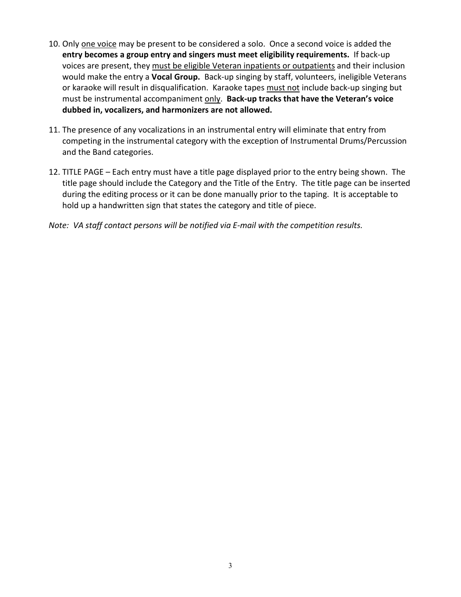- 10. Only one voice may be present to be considered a solo. Once a second voice is added the **entry becomes a group entry and singers must meet eligibility requirements.** If back-up voices are present, they must be eligible Veteran inpatients or outpatients and their inclusion would make the entry a **Vocal Group.** Back-up singing by staff, volunteers, ineligible Veterans or karaoke will result in disqualification. Karaoke tapes must not include back-up singing but must be instrumental accompaniment only. **Back-up tracks that have the Veteran's voice dubbed in, vocalizers, and harmonizers are not allowed.**
- 11. The presence of any vocalizations in an instrumental entry will eliminate that entry from competing in the instrumental category with the exception of Instrumental Drums/Percussion and the Band categories.
- 12. TITLE PAGE Each entry must have a title page displayed prior to the entry being shown. The title page should include the Category and the Title of the Entry. The title page can be inserted during the editing process or it can be done manually prior to the taping. It is acceptable to hold up a handwritten sign that states the category and title of piece.
- *Note: VA staff contact persons will be notified via E-mail with the competition results.*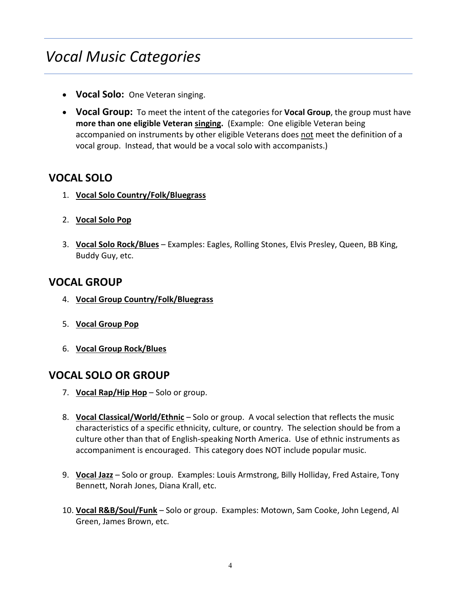# *Vocal Music Categories*

- **Vocal Solo:** One Veteran singing.
- **Vocal Group:** To meet the intent of the categories for **Vocal Group**, the group must have **more than one eligible Veteran singing.** (Example: One eligible Veteran being accompanied on instruments by other eligible Veterans does not meet the definition of a vocal group. Instead, that would be a vocal solo with accompanists.)

## **VOCAL SOLO**

- 1. **Vocal Solo Country/Folk/Bluegrass**
- 2. **Vocal Solo Pop**
- 3. **Vocal Solo Rock/Blues** Examples: Eagles, Rolling Stones, Elvis Presley, Queen, BB King, Buddy Guy, etc.

## **VOCAL GROUP**

- 4. **Vocal Group Country/Folk/Bluegrass**
- 5. **Vocal Group Pop**
- 6. **Vocal Group Rock/Blues**

### **VOCAL SOLO OR GROUP**

- 7. **Vocal Rap/Hip Hop** Solo or group.
- 8. **Vocal Classical/World/Ethnic** Solo or group. A vocal selection that reflects the music characteristics of a specific ethnicity, culture, or country. The selection should be from a culture other than that of English-speaking North America. Use of ethnic instruments as accompaniment is encouraged. This category does NOT include popular music.
- 9. **Vocal Jazz** Solo or group. Examples: Louis Armstrong, Billy Holliday, Fred Astaire, Tony Bennett, Norah Jones, Diana Krall, etc.
- 10. **Vocal R&B/Soul/Funk** Solo or group. Examples: Motown, Sam Cooke, John Legend, Al Green, James Brown, etc.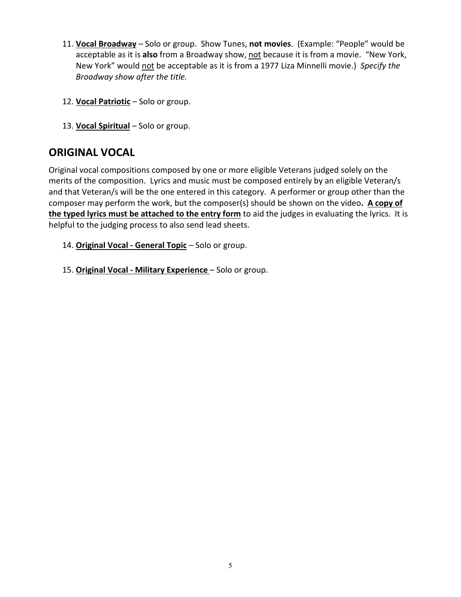- 11. **Vocal Broadway** Solo or group. Show Tunes, **not movies**. (Example: "People" would be acceptable as it is **also** from a Broadway show, not because it is from a movie. "New York, New York" would not be acceptable as it is from a 1977 Liza Minnelli movie.) *Specify the Broadway show after the title.*
- 12. **Vocal Patriotic** Solo or group.
- 13. **Vocal Spiritual** Solo or group.

## **ORIGINAL VOCAL**

Original vocal compositions composed by one or more eligible Veterans judged solely on the merits of the composition. Lyrics and music must be composed entirely by an eligible Veteran/s and that Veteran/s will be the one entered in this category. A performer or group other than the composer may perform the work, but the composer(s) should be shown on the video**. A copy of the typed lyrics must be attached to the entry form** to aid the judges in evaluating the lyrics. It is helpful to the judging process to also send lead sheets.

- 14. **Original Vocal General Topic** Solo or group.
- 15. **Original Vocal Military Experience**  Solo or group.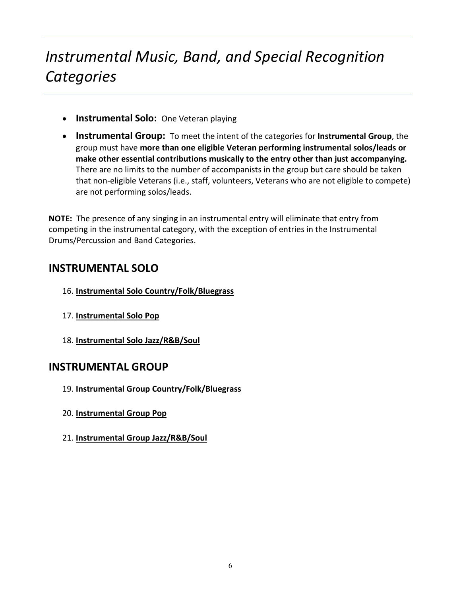# *Instrumental Music, Band, and Special Recognition Categories*

- **Instrumental Solo:** One Veteran playing
- **Instrumental Group:** To meet the intent of the categories for **Instrumental Group**, the group must have **more than one eligible Veteran performing instrumental solos/leads or make other essential contributions musically to the entry other than just accompanying.**  There are no limits to the number of accompanists in the group but care should be taken that non-eligible Veterans (i.e., staff, volunteers, Veterans who are not eligible to compete) are not performing solos/leads.

**NOTE:** The presence of any singing in an instrumental entry will eliminate that entry from competing in the instrumental category, with the exception of entries in the Instrumental Drums/Percussion and Band Categories.

## **INSTRUMENTAL SOLO**

- 16. **Instrumental Solo Country/Folk/Bluegrass**
- 17. **Instrumental Solo Pop**
- 18. **Instrumental Solo Jazz/R&B/Soul**

## **INSTRUMENTAL GROUP**

- 19. **Instrumental Group Country/Folk/Bluegrass**
- 20. **Instrumental Group Pop**
- 21. **Instrumental Group Jazz/R&B/Soul**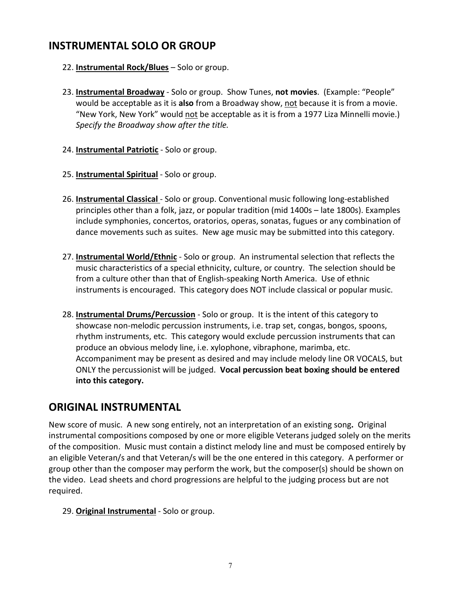## **INSTRUMENTAL SOLO OR GROUP**

- 22. **Instrumental Rock/Blues** Solo or group.
- 23. **Instrumental Broadway** Solo or group. Show Tunes, **not movies**. (Example: "People" would be acceptable as it is **also** from a Broadway show, not because it is from a movie. "New York, New York" would not be acceptable as it is from a 1977 Liza Minnelli movie.) *Specify the Broadway show after the title.*
- 24. **Instrumental Patriotic** Solo or group.
- 25. **Instrumental Spiritual** Solo or group.
- 26. **Instrumental Classical** Solo or group. Conventional music following long-established principles other than a folk, jazz, or popular tradition (mid 1400s – late 1800s). Examples include symphonies, concertos, oratorios, operas, sonatas, fugues or any combination of dance movements such as suites. New age music may be submitted into this category.
- 27. **Instrumental World/Ethnic** Solo or group. An instrumental selection that reflects the music characteristics of a special ethnicity, culture, or country. The selection should be from a culture other than that of English-speaking North America. Use of ethnic instruments is encouraged. This category does NOT include classical or popular music.
- 28. **Instrumental Drums/Percussion** Solo or group. It is the intent of this category to showcase non-melodic percussion instruments, i.e. trap set, congas, bongos, spoons, rhythm instruments, etc. This category would exclude percussion instruments that can produce an obvious melody line, i.e. xylophone, vibraphone, marimba, etc. Accompaniment may be present as desired and may include melody line OR VOCALS, but ONLY the percussionist will be judged. **Vocal percussion beat boxing should be entered into this category.**

## **ORIGINAL INSTRUMENTAL**

New score of music. A new song entirely, not an interpretation of an existing song**.** Original instrumental compositions composed by one or more eligible Veterans judged solely on the merits of the composition. Music must contain a distinct melody line and must be composed entirely by an eligible Veteran/s and that Veteran/s will be the one entered in this category. A performer or group other than the composer may perform the work, but the composer(s) should be shown on the video. Lead sheets and chord progressions are helpful to the judging process but are not required.

29. **Original Instrumental** - Solo or group.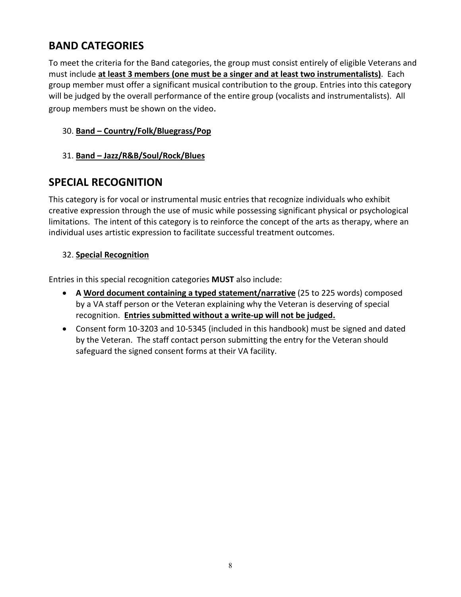## **BAND CATEGORIES**

To meet the criteria for the Band categories, the group must consist entirely of eligible Veterans and must include **at least 3 members (one must be a singer and at least two instrumentalists)**. Each group member must offer a significant musical contribution to the group. Entries into this category will be judged by the overall performance of the entire group (vocalists and instrumentalists). All group members must be shown on the video.

### 30. **Band – Country/Folk/Bluegrass/Pop**

### 31. **Band – Jazz/R&B/Soul/Rock/Blues**

## **SPECIAL RECOGNITION**

This category is for vocal or instrumental music entries that recognize individuals who exhibit creative expression through the use of music while possessing significant physical or psychological limitations. The intent of this category is to reinforce the concept of the arts as therapy, where an individual uses artistic expression to facilitate successful treatment outcomes.

### 32. **Special Recognition**

Entries in this special recognition categories **MUST** also include:

- **A Word document containing a typed statement/narrative** (25 to 225 words) composed by a VA staff person or the Veteran explaining why the Veteran is deserving of special recognition. **Entries submitted without a write-up will not be judged.**
- Consent form 10-3203 and 10-5345 (included in this handbook) must be signed and dated by the Veteran. The staff contact person submitting the entry for the Veteran should safeguard the signed consent forms at their VA facility.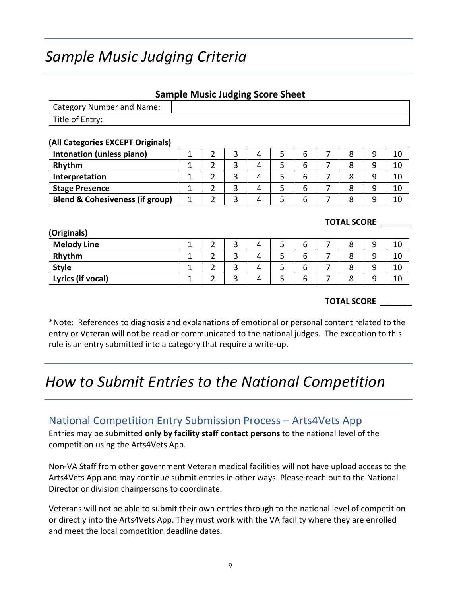# *Sample Music Judging Criteria*

### **Sample Music Judging Score Sheet**

| Category Number and Name: |  |
|---------------------------|--|
| Title of Entry:           |  |

#### **(All Categories EXCEPT Originals)**

| Intonation (unless piano)                  |  |  |  |  | 10 |
|--------------------------------------------|--|--|--|--|----|
| Rhythm                                     |  |  |  |  | 10 |
| Interpretation                             |  |  |  |  | 10 |
| <b>Stage Presence</b>                      |  |  |  |  | 10 |
| <b>Blend &amp; Cohesiveness (if group)</b> |  |  |  |  | 10 |

#### **TOTAL SCORE** \_\_\_\_\_\_\_

| (Originals)        |  |   |   |   |   |   |    |
|--------------------|--|---|---|---|---|---|----|
| <b>Melody Line</b> |  |   | 4 | ے | o | ٥ | 10 |
| Rhythm             |  | ∽ |   | ٮ |   | 8 | 10 |
| <b>Style</b>       |  | ∽ | 4 |   |   | 8 | 10 |
| Lyrics (if vocal)  |  |   |   | ت |   | 8 | 10 |

#### **TOTAL SCORE** \_\_\_\_\_\_\_

\*Note: References to diagnosis and explanations of emotional or personal content related to the entry or Veteran will not be read or communicated to the national judges. The exception to this rule is an entry submitted into a category that require a write-up.

# *How to Submit Entries to the National Competition*

### National Competition Entry Submission Process – Arts4Vets App

Entries may be submitted **only by facility staff contact persons** to the national level of the competition using the Arts4Vets App.

Non-VA Staff from other government Veteran medical facilities will not have upload access to the Arts4Vets App and may continue submit entries in other ways. Please reach out to the National Director or division chairpersons to coordinate.

Veterans will not be able to submit their own entries through to the national level of competition or directly into the Arts4Vets App. They must work with the VA facility where they are enrolled and meet the local competition deadline dates.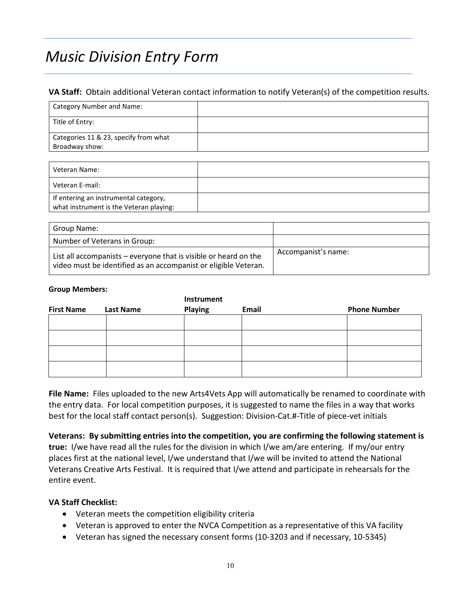# *Music Division Entry Form*

#### **VA Staff:** Obtain additional Veteran contact information to notify Veteran(s) of the competition results.

| Category Number and Name:             |  |
|---------------------------------------|--|
| Title of Entry:                       |  |
| Categories 11 & 23, specify from what |  |
| Broadway show:                        |  |

| Veteran Name:                                                                    |  |
|----------------------------------------------------------------------------------|--|
| Veteran E-mail:                                                                  |  |
| If entering an instrumental category,<br>what instrument is the Veteran playing: |  |

| Group Name:                                                                                                                         |                     |
|-------------------------------------------------------------------------------------------------------------------------------------|---------------------|
| Number of Veterans in Group:                                                                                                        |                     |
| List all accompanists – everyone that is visible or heard on the<br>video must be identified as an accompanist or eligible Veteran. | Accompanist's name: |

#### **Group Members:**

|                   |                  | Instrument     |       |                     |
|-------------------|------------------|----------------|-------|---------------------|
| <b>First Name</b> | <b>Last Name</b> | <b>Playing</b> | Email | <b>Phone Number</b> |
|                   |                  |                |       |                     |
|                   |                  |                |       |                     |
|                   |                  |                |       |                     |
|                   |                  |                |       |                     |
|                   |                  |                |       |                     |
|                   |                  |                |       |                     |

**File Name:** Files uploaded to the new Arts4Vets App will automatically be renamed to coordinate with the entry data. For local competition purposes, it is suggested to name the files in a way that works best for the local staff contact person(s). Suggestion: Division-Cat.#-Title of piece-vet initials

**Veterans: By submitting entries into the competition, you are confirming the following statement is true:** I/we have read all the rules for the division in which I/we am/are entering. If my/our entry places first at the national level, I/we understand that I/we will be invited to attend the National Veterans Creative Arts Festival. It is required that I/we attend and participate in rehearsals for the entire event.

#### **VA Staff Checklist:**

- Veteran meets the competition eligibility criteria
- Veteran is approved to enter the NVCA Competition as a representative of this VA facility
- Veteran has signed the necessary consent forms (10-3203 and if necessary, 10-5345)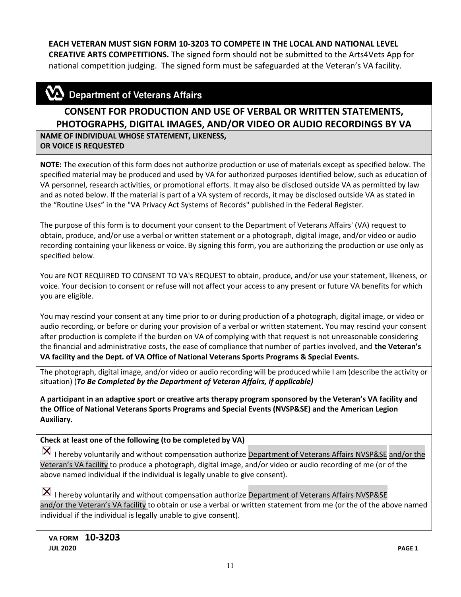#### **EACH VETERAN MUST SIGN FORM 10-3203 TO COMPETE IN THE LOCAL AND NATIONAL LEVEL**

**CREATIVE ARTS COMPETITIONS.** The signed form should not be submitted to the Arts4Vets App for national competition judging. The signed form must be safeguarded at the Veteran's VA facility.

## $\mathbf{\mathbf{\Sigma}}$  Department of Veterans Affairs

## **CONSENT FOR PRODUCTION AND USE OF VERBAL OR WRITTEN STATEMENTS, PHOTOGRAPHS, DIGITAL IMAGES, AND/OR VIDEO OR AUDIO RECORDINGS BY VA**

**NAME OF INDIVIDUAL WHOSE STATEMENT, LIKENESS, OR VOICE IS REQUESTED**

**NOTE:** The execution of this form does not authorize production or use of materials except as specified below. The specified material may be produced and used by VA for authorized purposes identified below, such as education of VA personnel, research activities, or promotional efforts. It may also be disclosed outside VA as permitted by law and as noted below. If the material is part of a VA system of records, it may be disclosed outside VA as stated in the "Routine Uses" in the "VA Privacy Act Systems of Records" published in the Federal Register.

The purpose of this form is to document your consent to the Department of Veterans Affairs' (VA) request to obtain, produce, and/or use a verbal or written statement or a photograph, digital image, and/or video or audio recording containing your likeness or voice. By signing this form, you are authorizing the production or use only as specified below.

You are NOT REQUIRED TO CONSENT TO VA's REQUEST to obtain, produce, and/or use your statement, likeness, or voice. Your decision to consent or refuse will not affect your access to any present or future VA benefits for which you are eligible.

You may rescind your consent at any time prior to or during production of a photograph, digital image, or video or audio recording, or before or during your provision of a verbal or written statement. You may rescind your consent after production is complete if the burden on VA of complying with that request is not unreasonable considering the financial and administrative costs, the ease of compliance that number of parties involved, and **the Veteran's VA facility and the Dept. of VA Office of National Veterans Sports Programs & Special Events.**

The photograph, digital image, and/or video or audio recording will be produced while I am (describe the activity or situation) (*To Be Completed by the Department of Veteran Affairs, if applicable)* 

**A participant in an adaptive sport or creative arts therapy program sponsored by the Veteran's VA facility and the Office of National Veterans Sports Programs and Special Events (NVSP&SE) and the American Legion Auxiliary.**

#### **Check at least one of the following (to be completed by VA)**

 $\vert X \vert$  I hereby voluntarily and without compensation authorize Department of Veterans Affairs NVSP&SE and/or the Veteran's VA facility to produce a photograph, digital image, and/or video or audio recording of me (or of the above named individual if the individual is legally unable to give consent).

 $\vert X \vert$  I hereby voluntarily and without compensation authorize Department of Veterans Affairs NVSP&SE and/or the Veteran's VA facility to obtain or use a verbal or written statement from me (or the of the above named individual if the individual is legally unable to give consent).